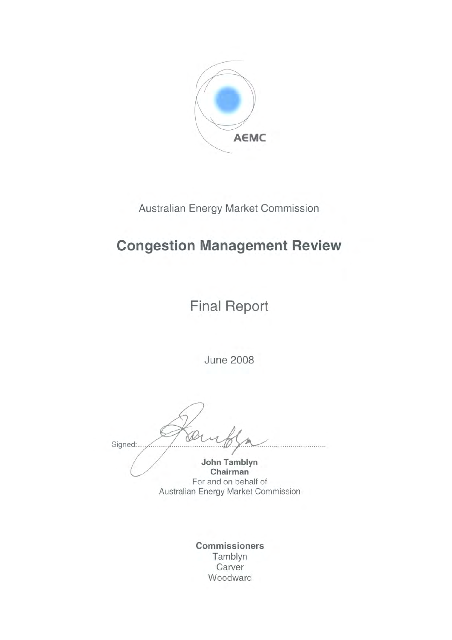

Australian Energy Market Commission

# **Congestion Management Review**

**Final Report** 

**June 2008** 

Signed:.

John Tamblyn Chairman For and on behalf of Australian Energy Market Commission

Commissioners Tamblyn Carver Woodward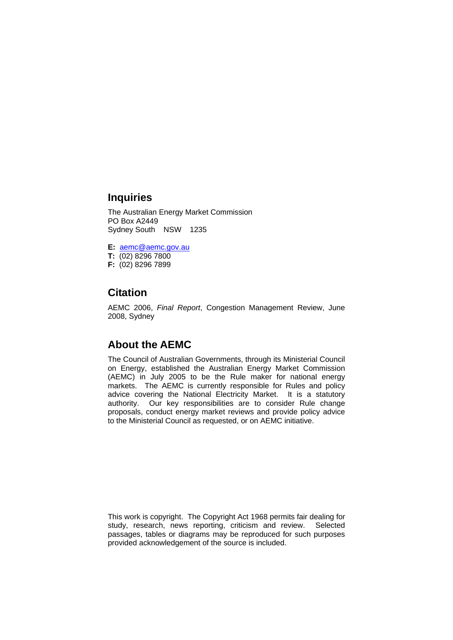### **Inquiries**

The Australian Energy Market Commission PO Box A2449 Sydney South NSW 1235

**E:** aemc@aemc.gov.au **T:** (02) 8296 7800

**F:** (02) 8296 7899

### **Citation**

AEMC 2006, *Final Report*, Congestion Management Review, June 2008, Sydney

### **About the AEMC**

The Council of Australian Governments, through its Ministerial Council on Energy, established the Australian Energy Market Commission (AEMC) in July 2005 to be the Rule maker for national energy markets. The AEMC is currently responsible for Rules and policy advice covering the National Electricity Market. It is a statutory authority. Our key responsibilities are to consider Rule change proposals, conduct energy market reviews and provide policy advice to the Ministerial Council as requested, or on AEMC initiative.

This work is copyright. The Copyright Act 1968 permits fair dealing for study, research, news reporting, criticism and review. Selected passages, tables or diagrams may be reproduced for such purposes provided acknowledgement of the source is included.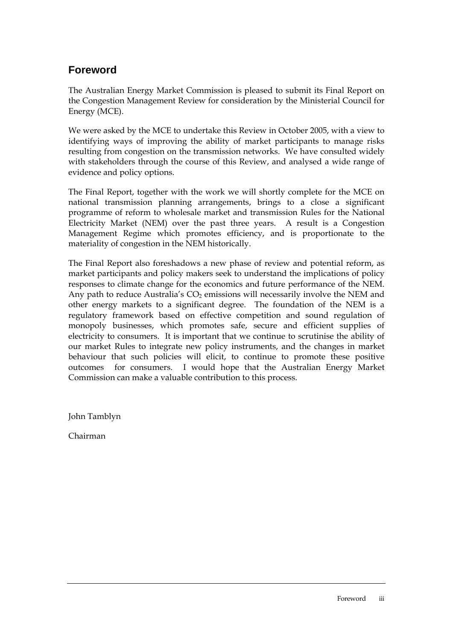# **Foreword**

The Australian Energy Market Commission is pleased to submit its Final Report on the Congestion Management Review for consideration by the Ministerial Council for Energy (MCE).

We were asked by the MCE to undertake this Review in October 2005, with a view to identifying ways of improving the ability of market participants to manage risks resulting from congestion on the transmission networks. We have consulted widely with stakeholders through the course of this Review, and analysed a wide range of evidence and policy options.

The Final Report, together with the work we will shortly complete for the MCE on national transmission planning arrangements, brings to a close a significant programme of reform to wholesale market and transmission Rules for the National Electricity Market (NEM) over the past three years. A result is a Congestion Management Regime which promotes efficiency, and is proportionate to the materiality of congestion in the NEM historically.

The Final Report also foreshadows a new phase of review and potential reform, as market participants and policy makers seek to understand the implications of policy responses to climate change for the economics and future performance of the NEM. Any path to reduce Australia's  $CO<sub>2</sub>$  emissions will necessarily involve the NEM and other energy markets to a significant degree. The foundation of the NEM is a regulatory framework based on effective competition and sound regulation of monopoly businesses, which promotes safe, secure and efficient supplies of electricity to consumers. It is important that we continue to scrutinise the ability of our market Rules to integrate new policy instruments, and the changes in market behaviour that such policies will elicit, to continue to promote these positive outcomes for consumers. I would hope that the Australian Energy Market Commission can make a valuable contribution to this process.

John Tamblyn

Chairman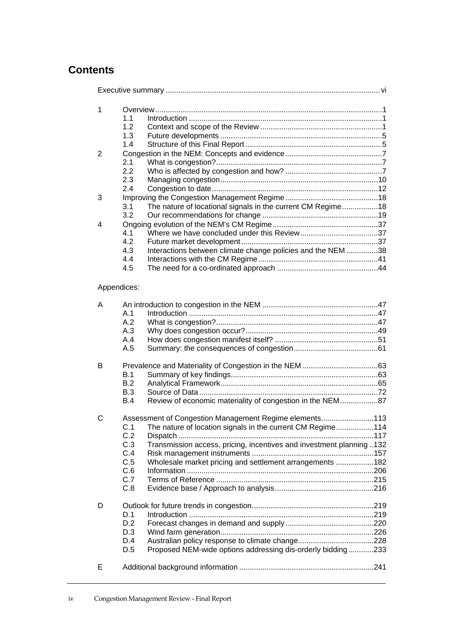# **Contents**

| 1              |                                                                             |  |
|----------------|-----------------------------------------------------------------------------|--|
|                | 1.1                                                                         |  |
|                | 1.2                                                                         |  |
|                | 1.3                                                                         |  |
|                | 1.4                                                                         |  |
| $\overline{2}$ |                                                                             |  |
|                | 2.1                                                                         |  |
|                | 2.2                                                                         |  |
|                | 2.3                                                                         |  |
|                | 2.4                                                                         |  |
| 3              |                                                                             |  |
|                | The nature of locational signals in the current CM Regime18<br>3.1          |  |
|                | 3.2                                                                         |  |
| 4              |                                                                             |  |
|                | 4.1                                                                         |  |
|                | 4.2                                                                         |  |
|                | Interactions between climate change policies and the NEM 38<br>4.3          |  |
|                | 4.4                                                                         |  |
|                | 4.5                                                                         |  |
|                | Appendices:                                                                 |  |
| Α              |                                                                             |  |
|                | A.1                                                                         |  |
|                | A.2                                                                         |  |
|                | A.3                                                                         |  |
|                | A.4                                                                         |  |
|                | A.5                                                                         |  |
| В              |                                                                             |  |
|                | B.1                                                                         |  |
|                | B.2                                                                         |  |
|                | B.3                                                                         |  |
|                | Review of economic materiality of congestion in the NEM87<br>B.4            |  |
|                |                                                                             |  |
| C              | Assessment of Congestion Management Regime elements113                      |  |
|                | The nature of location signals in the current CM Regime114<br>C.1           |  |
|                | C.2                                                                         |  |
|                | Transmission access, pricing, incentives and investment planning 132<br>C.3 |  |
|                | C.4                                                                         |  |
|                | C.5<br>Wholesale market pricing and settlement arrangements 182             |  |
|                | C.6                                                                         |  |
|                | C.7                                                                         |  |
|                | C.8                                                                         |  |
|                |                                                                             |  |
| D              |                                                                             |  |
|                | D.1                                                                         |  |
|                | D.2                                                                         |  |
|                | D.3                                                                         |  |
|                | D.4                                                                         |  |
|                | Proposed NEM-wide options addressing dis-orderly bidding233<br>D.5          |  |
| Е              |                                                                             |  |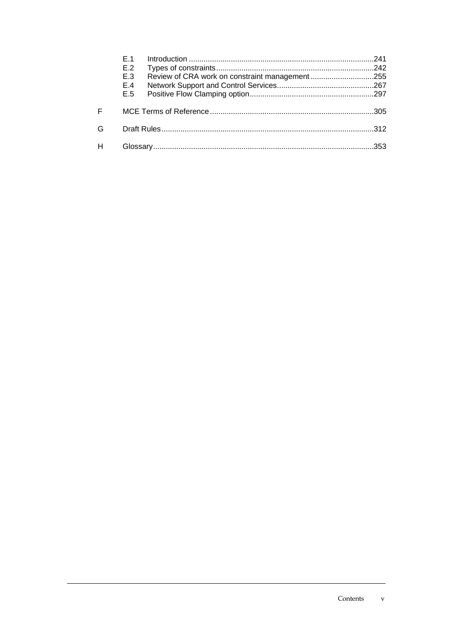|   | F 1<br>E.2<br>E.3<br>E.4<br>E.5 |  | 241  |  |
|---|---------------------------------|--|------|--|
| F |                                 |  | -305 |  |
| G | 312                             |  |      |  |
|   |                                 |  |      |  |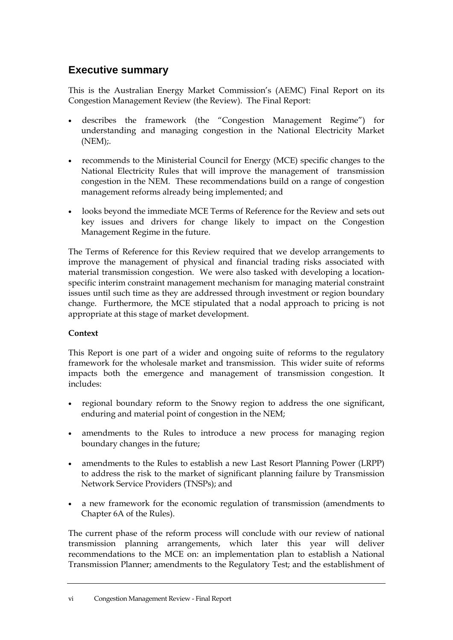# **Executive summary**

This is the Australian Energy Market Commission's (AEMC) Final Report on its Congestion Management Review (the Review). The Final Report:

- describes the framework (the "Congestion Management Regime") for understanding and managing congestion in the National Electricity Market  $(NEM)$ ;
- recommends to the Ministerial Council for Energy (MCE) specific changes to the National Electricity Rules that will improve the management of transmission congestion in the NEM. These recommendations build on a range of congestion management reforms already being implemented; and
- looks beyond the immediate MCE Terms of Reference for the Review and sets out key issues and drivers for change likely to impact on the Congestion Management Regime in the future.

The Terms of Reference for this Review required that we develop arrangements to improve the management of physical and financial trading risks associated with material transmission congestion. We were also tasked with developing a locationspecific interim constraint management mechanism for managing material constraint issues until such time as they are addressed through investment or region boundary change. Furthermore, the MCE stipulated that a nodal approach to pricing is not appropriate at this stage of market development.

### **Context**

This Report is one part of a wider and ongoing suite of reforms to the regulatory framework for the wholesale market and transmission. This wider suite of reforms impacts both the emergence and management of transmission congestion. It includes:

- regional boundary reform to the Snowy region to address the one significant, enduring and material point of congestion in the NEM;
- amendments to the Rules to introduce a new process for managing region boundary changes in the future;
- amendments to the Rules to establish a new Last Resort Planning Power (LRPP) to address the risk to the market of significant planning failure by Transmission Network Service Providers (TNSPs); and
- a new framework for the economic regulation of transmission (amendments to Chapter 6A of the Rules).

The current phase of the reform process will conclude with our review of national transmission planning arrangements, which later this year will deliver recommendations to the MCE on: an implementation plan to establish a National Transmission Planner; amendments to the Regulatory Test; and the establishment of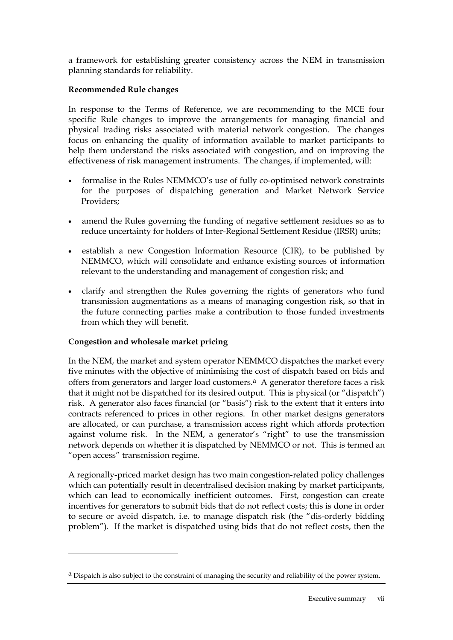a framework for establishing greater consistency across the NEM in transmission planning standards for reliability.

#### **Recommended Rule changes**

In response to the Terms of Reference, we are recommending to the MCE four specific Rule changes to improve the arrangements for managing financial and physical trading risks associated with material network congestion. The changes focus on enhancing the quality of information available to market participants to help them understand the risks associated with congestion, and on improving the effectiveness of risk management instruments. The changes, if implemented, will:

- formalise in the Rules NEMMCO's use of fully co-optimised network constraints for the purposes of dispatching generation and Market Network Service Providers;
- amend the Rules governing the funding of negative settlement residues so as to reduce uncertainty for holders of Inter-Regional Settlement Residue (IRSR) units;
- establish a new Congestion Information Resource (CIR), to be published by NEMMCO, which will consolidate and enhance existing sources of information relevant to the understanding and management of congestion risk; and
- clarify and strengthen the Rules governing the rights of generators who fund transmission augmentations as a means of managing congestion risk, so that in the future connecting parties make a contribution to those funded investments from which they will benefit.

#### **Congestion and wholesale market pricing**

In the NEM, the market and system operator NEMMCO dispatches the market every five minutes with the objective of minimising the cost of dispatch based on bids and offers from generators and larger load customers. $a$  A generator therefore faces a risk that it might not be dispatched for its desired output. This is physical (or "dispatch") risk. A generator also faces financial (or "basis") risk to the extent that it enters into contracts referenced to prices in other regions. In other market designs generators are allocated, or can purchase, a transmission access right which affords protection against volume risk. In the NEM, a generator's "right" to use the transmission network depends on whether it is dispatched by NEMMCO or not. This is termed an "open access" transmission regime.

A regionally-priced market design has two main congestion-related policy challenges which can potentially result in decentralised decision making by market participants, which can lead to economically inefficient outcomes. First, congestion can create incentives for generators to submit bids that do not reflect costs; this is done in order to secure or avoid dispatch, i.e. to manage dispatch risk (the "dis-orderly bidding problem"). If the market is dispatched using bids that do not reflect costs, then the

<sup>&</sup>lt;sup>a</sup> Dispatch is also subject to the constraint of managing the security and reliability of the power system.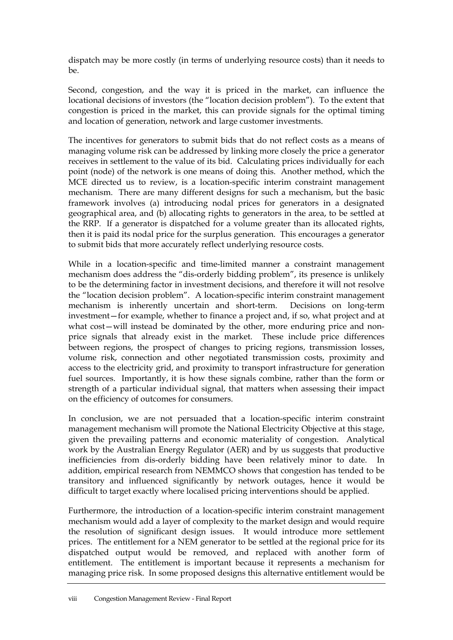dispatch may be more costly (in terms of underlying resource costs) than it needs to be.

Second, congestion, and the way it is priced in the market, can influence the locational decisions of investors (the "location decision problem"). To the extent that congestion is priced in the market, this can provide signals for the optimal timing and location of generation, network and large customer investments.

The incentives for generators to submit bids that do not reflect costs as a means of managing volume risk can be addressed by linking more closely the price a generator receives in settlement to the value of its bid. Calculating prices individually for each point (node) of the network is one means of doing this. Another method, which the MCE directed us to review, is a location-specific interim constraint management mechanism. There are many different designs for such a mechanism, but the basic framework involves (a) introducing nodal prices for generators in a designated geographical area, and (b) allocating rights to generators in the area, to be settled at the RRP. If a generator is dispatched for a volume greater than its allocated rights, then it is paid its nodal price for the surplus generation. This encourages a generator to submit bids that more accurately reflect underlying resource costs.

While in a location-specific and time-limited manner a constraint management mechanism does address the "dis-orderly bidding problem", its presence is unlikely to be the determining factor in investment decisions, and therefore it will not resolve the "location decision problem". A location-specific interim constraint management mechanism is inherently uncertain and short-term. Decisions on long-term mechanism is inherently uncertain and short-term. investment—for example, whether to finance a project and, if so, what project and at what cost-will instead be dominated by the other, more enduring price and nonprice signals that already exist in the market. These include price differences between regions, the prospect of changes to pricing regions, transmission losses, volume risk, connection and other negotiated transmission costs, proximity and access to the electricity grid, and proximity to transport infrastructure for generation fuel sources. Importantly, it is how these signals combine, rather than the form or strength of a particular individual signal, that matters when assessing their impact on the efficiency of outcomes for consumers.

In conclusion, we are not persuaded that a location-specific interim constraint management mechanism will promote the National Electricity Objective at this stage, given the prevailing patterns and economic materiality of congestion. Analytical work by the Australian Energy Regulator (AER) and by us suggests that productive inefficiencies from dis-orderly bidding have been relatively minor to date. In addition, empirical research from NEMMCO shows that congestion has tended to be transitory and influenced significantly by network outages, hence it would be difficult to target exactly where localised pricing interventions should be applied.

Furthermore, the introduction of a location-specific interim constraint management mechanism would add a layer of complexity to the market design and would require the resolution of significant design issues. It would introduce more settlement prices. The entitlement for a NEM generator to be settled at the regional price for its dispatched output would be removed, and replaced with another form of entitlement. The entitlement is important because it represents a mechanism for managing price risk. In some proposed designs this alternative entitlement would be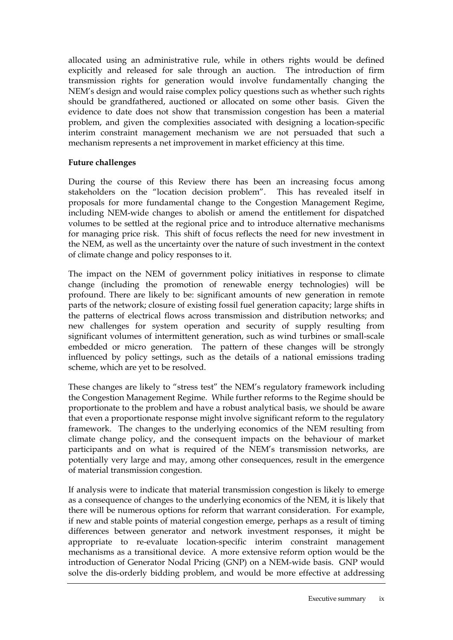allocated using an administrative rule, while in others rights would be defined explicitly and released for sale through an auction. The introduction of firm transmission rights for generation would involve fundamentally changing the NEM's design and would raise complex policy questions such as whether such rights should be grandfathered, auctioned or allocated on some other basis. Given the evidence to date does not show that transmission congestion has been a material problem, and given the complexities associated with designing a location-specific interim constraint management mechanism we are not persuaded that such a mechanism represents a net improvement in market efficiency at this time.

#### **Future challenges**

During the course of this Review there has been an increasing focus among stakeholders on the "location decision problem". This has revealed itself in proposals for more fundamental change to the Congestion Management Regime, including NEM-wide changes to abolish or amend the entitlement for dispatched volumes to be settled at the regional price and to introduce alternative mechanisms for managing price risk. This shift of focus reflects the need for new investment in the NEM, as well as the uncertainty over the nature of such investment in the context of climate change and policy responses to it.

The impact on the NEM of government policy initiatives in response to climate change (including the promotion of renewable energy technologies) will be profound. There are likely to be: significant amounts of new generation in remote parts of the network; closure of existing fossil fuel generation capacity; large shifts in the patterns of electrical flows across transmission and distribution networks; and new challenges for system operation and security of supply resulting from significant volumes of intermittent generation, such as wind turbines or small-scale embedded or micro generation. The pattern of these changes will be strongly influenced by policy settings, such as the details of a national emissions trading scheme, which are yet to be resolved.

These changes are likely to "stress test" the NEM's regulatory framework including the Congestion Management Regime. While further reforms to the Regime should be proportionate to the problem and have a robust analytical basis, we should be aware that even a proportionate response might involve significant reform to the regulatory framework. The changes to the underlying economics of the NEM resulting from climate change policy, and the consequent impacts on the behaviour of market participants and on what is required of the NEM's transmission networks, are potentially very large and may, among other consequences, result in the emergence of material transmission congestion.

If analysis were to indicate that material transmission congestion is likely to emerge as a consequence of changes to the underlying economics of the NEM, it is likely that there will be numerous options for reform that warrant consideration. For example, if new and stable points of material congestion emerge, perhaps as a result of timing differences between generator and network investment responses, it might be appropriate to re-evaluate location-specific interim constraint management mechanisms as a transitional device. A more extensive reform option would be the introduction of Generator Nodal Pricing (GNP) on a NEM-wide basis. GNP would solve the dis-orderly bidding problem, and would be more effective at addressing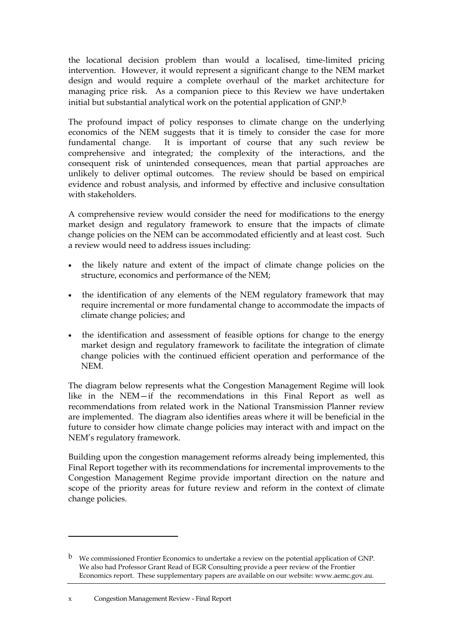the locational decision problem than would a localised, time-limited pricing intervention. However, it would represent a significant change to the NEM market design and would require a complete overhaul of the market architecture for managing price risk. As a companion piece to this Review we have undertaken initial but substantial analytical work on the potential application of GNP.b

The profound impact of policy responses to climate change on the underlying economics of the NEM suggests that it is timely to consider the case for more fundamental change. It is important of course that any such review be comprehensive and integrated; the complexity of the interactions, and the consequent risk of unintended consequences, mean that partial approaches are unlikely to deliver optimal outcomes. The review should be based on empirical evidence and robust analysis, and informed by effective and inclusive consultation with stakeholders.

A comprehensive review would consider the need for modifications to the energy market design and regulatory framework to ensure that the impacts of climate change policies on the NEM can be accommodated efficiently and at least cost. Such a review would need to address issues including:

- the likely nature and extent of the impact of climate change policies on the structure, economics and performance of the NEM;
- the identification of any elements of the NEM regulatory framework that may require incremental or more fundamental change to accommodate the impacts of climate change policies; and
- the identification and assessment of feasible options for change to the energy market design and regulatory framework to facilitate the integration of climate change policies with the continued efficient operation and performance of the NEM.

The diagram below represents what the Congestion Management Regime will look like in the NEM—if the recommendations in this Final Report as well as recommendations from related work in the National Transmission Planner review are implemented. The diagram also identifies areas where it will be beneficial in the future to consider how climate change policies may interact with and impact on the NEM's regulatory framework.

Building upon the congestion management reforms already being implemented, this Final Report together with its recommendations for incremental improvements to the Congestion Management Regime provide important direction on the nature and scope of the priority areas for future review and reform in the context of climate change policies.

l

b We commissioned Frontier Economics to undertake a review on the potential application of GNP. We also had Professor Grant Read of EGR Consulting provide a peer review of the Frontier Economics report. These supplementary papers are available on our website: www.aemc.gov.au.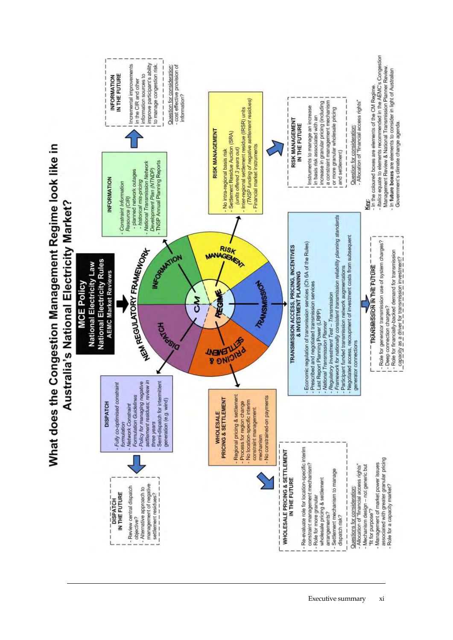